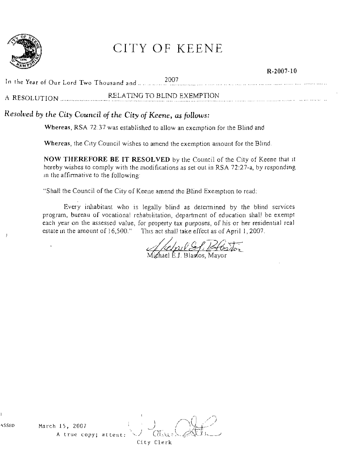

## CITY OF KEENE

|               | 2007                        |  |
|---------------|-----------------------------|--|
| A RESOLUTION. | RELATING TO BLIND EXEMPTION |  |

R-2007-10

## *Resolved by the City Council* of *the City* of *Keene, as follows:*

Whereas, RSA 72.37 was established to allow an exemption for the Blind and

Whereas, the City Council wishes to amend the exemption amount for the Blind.

NOW THEREFORE BE IT RESOLVED by the Council of the City of Keene that it hereby wishes to comply with the modifications as set out in RSA  $72:27$ -a, by responding in the affirmative to the following:

"Shall the Council of the City of Keene amend the Blind Exemption to read:

Every inhabitant who is legally blind as detenumed by the blind services program, bureau of vocational rehabilitation, department of education shall be exempt each year on the assessed value, for property tax purposes, of his or her residential real estate in the amount of 16,500." This act shall take effect as of April 1, 2007.

/c/p126/B6stor

ael E.J. Blasios, Mayor

'\SSED March 15, 2007 A true **copy;** attest:

City Clerk